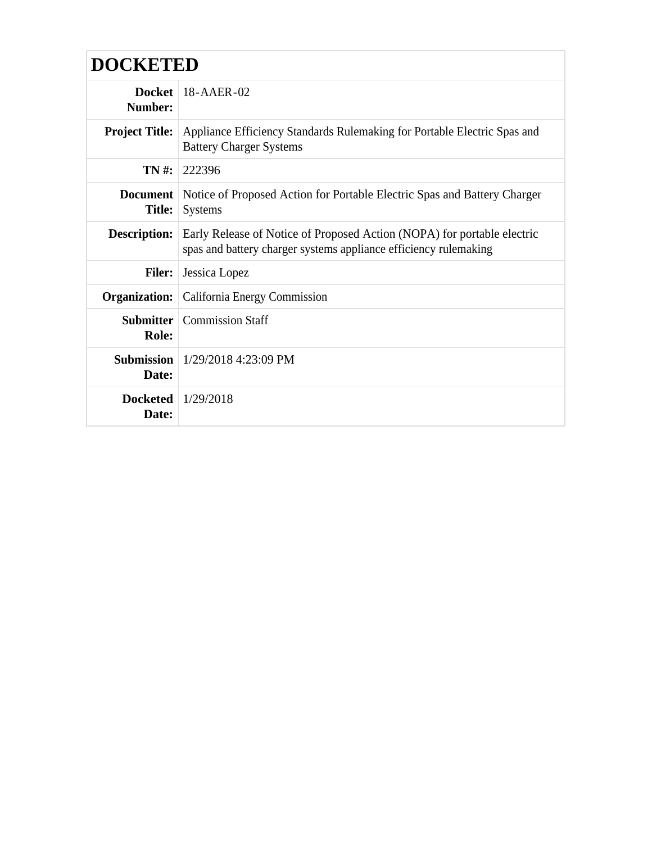| <b>DOCKETED</b>                  |                                                                                                                                             |
|----------------------------------|---------------------------------------------------------------------------------------------------------------------------------------------|
| Docket<br>Number:                | $18 - A AER - 02$                                                                                                                           |
| <b>Project Title:</b>            | Appliance Efficiency Standards Rulemaking for Portable Electric Spas and<br><b>Battery Charger Systems</b>                                  |
| $TN#$ :                          | 222396                                                                                                                                      |
| <b>Document</b><br><b>Title:</b> | Notice of Proposed Action for Portable Electric Spas and Battery Charger<br><b>Systems</b>                                                  |
| <b>Description:</b>              | Early Release of Notice of Proposed Action (NOPA) for portable electric<br>spas and battery charger systems appliance efficiency rulemaking |
| <b>Filer:</b>                    | Jessica Lopez                                                                                                                               |
| Organization:                    | California Energy Commission                                                                                                                |
| <b>Submitter</b><br>Role:        | <b>Commission Staff</b>                                                                                                                     |
| <b>Submission</b><br>Date:       | $1/29/2018$ 4:23:09 PM                                                                                                                      |
| <b>Docketed</b><br>Date:         | 1/29/2018                                                                                                                                   |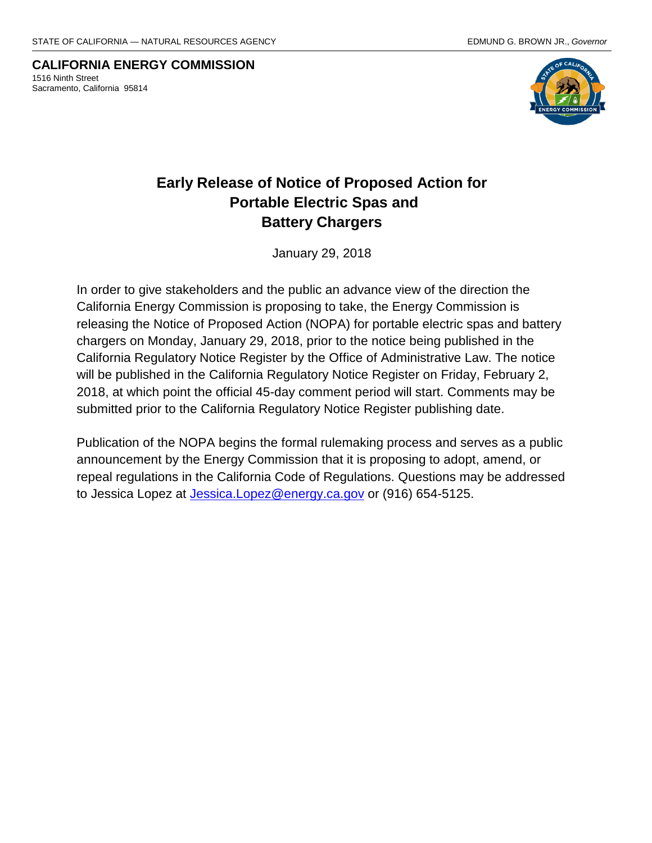**CALIFORNIA ENERGY COMMISSION** 1516 Ninth Street Sacramento, California 95814



# **Early Release of Notice of Proposed Action for Portable Electric Spas and Battery Chargers**

January 29, 2018

In order to give stakeholders and the public an advance view of the direction the California Energy Commission is proposing to take, the Energy Commission is releasing the Notice of Proposed Action (NOPA) for portable electric spas and battery chargers on Monday, January 29, 2018, prior to the notice being published in the California Regulatory Notice Register by the Office of Administrative Law. The notice will be published in the California Regulatory Notice Register on Friday, February 2, 2018, at which point the official 45-day comment period will start. Comments may be submitted prior to the California Regulatory Notice Register publishing date.

Publication of the NOPA begins the formal rulemaking process and serves as a public announcement by the Energy Commission that it is proposing to adopt, amend, or repeal regulations in the California Code of Regulations. Questions may be addressed to Jessica Lopez at *Jessica.Lopez@energy.ca.gov* or (916) 654-5125.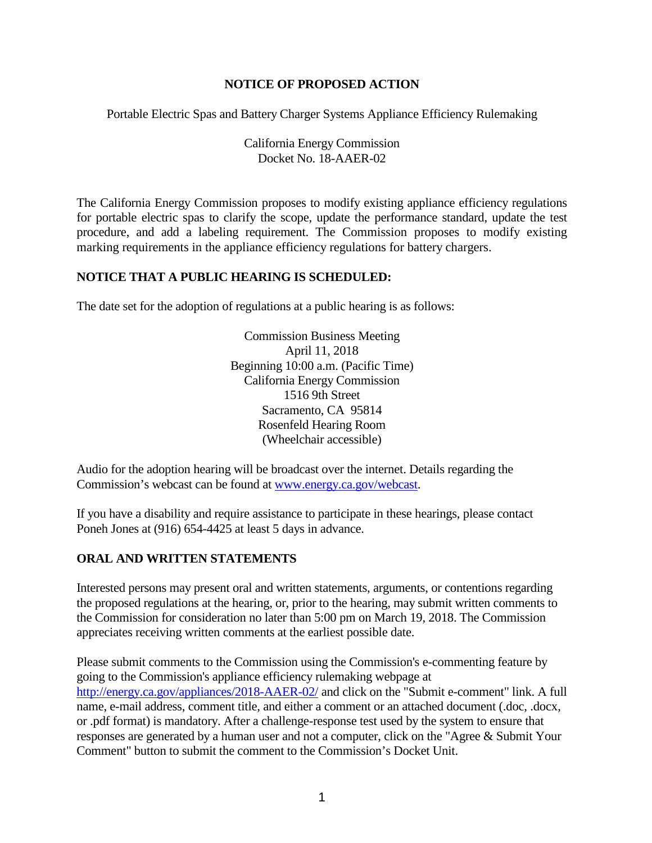#### **NOTICE OF PROPOSED ACTION**

Portable Electric Spas and Battery Charger Systems Appliance Efficiency Rulemaking

California Energy Commission Docket No. 18-AAER-02

The California Energy Commission proposes to modify existing appliance efficiency regulations for portable electric spas to clarify the scope, update the performance standard, update the test procedure, and add a labeling requirement. The Commission proposes to modify existing marking requirements in the appliance efficiency regulations for battery chargers.

#### **NOTICE THAT A PUBLIC HEARING IS SCHEDULED:**

The date set for the adoption of regulations at a public hearing is as follows:

Commission Business Meeting April 11, 2018 Beginning 10:00 a.m. (Pacific Time) California Energy Commission 1516 9th Street Sacramento, CA 95814 Rosenfeld Hearing Room (Wheelchair accessible)

Audio for the adoption hearing will be broadcast over the internet. Details regarding the Commission's webcast can be found at [www.energy.ca.gov/webcast.](http://www.energy.ca.gov/webcast)

If you have a disability and require assistance to participate in these hearings, please contact Poneh Jones at (916) 654-4425 at least 5 days in advance.

# **ORAL AND WRITTEN STATEMENTS**

Interested persons may present oral and written statements, arguments, or contentions regarding the proposed regulations at the hearing, or, prior to the hearing, may submit written comments to the Commission for consideration no later than 5:00 pm on March 19, 2018. The Commission appreciates receiving written comments at the earliest possible date.

Please submit comments to the Commission using the Commission's e-commenting feature by going to the Commission's appliance efficiency rulemaking webpage at <http://energy.ca.gov/appliances/2018-AAER-02/> and click on the "Submit e-comment" link. A full name, e-mail address, comment title, and either a comment or an attached document (.doc, .docx, or .pdf format) is mandatory. After a challenge-response test used by the system to ensure that responses are generated by a human user and not a computer, click on the "Agree & Submit Your Comment" button to submit the comment to the Commission's Docket Unit.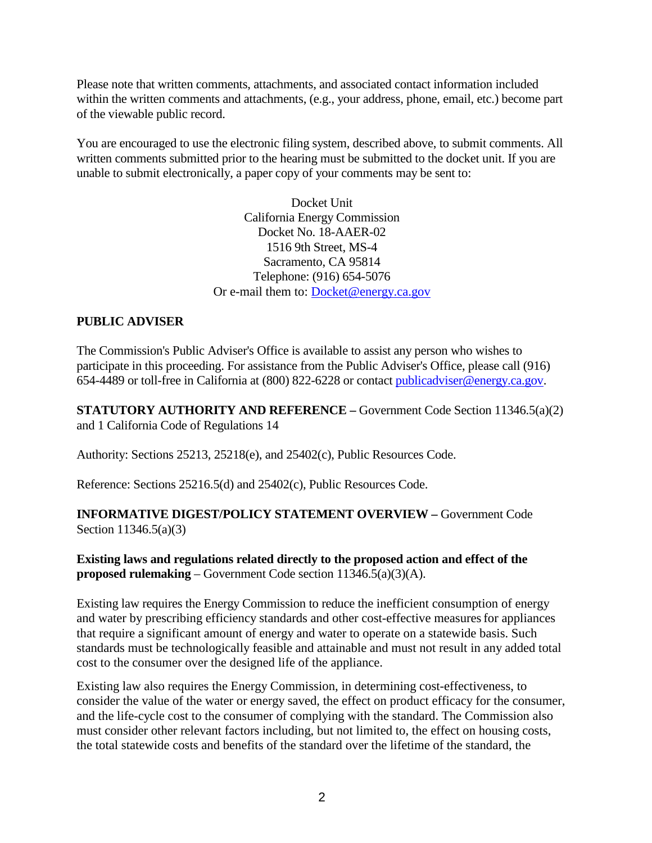Please note that written comments, attachments, and associated contact information included within the written comments and attachments, (e.g., your address, phone, email, etc.) become part of the viewable public record.

You are encouraged to use the electronic filing system, described above, to submit comments. All written comments submitted prior to the hearing must be submitted to the docket unit. If you are unable to submit electronically, a paper copy of your comments may be sent to:

> Docket Unit California Energy Commission Docket No. 18-AAER-02 1516 9th Street, MS-4 Sacramento, CA 95814 Telephone: (916) 654-5076 Or e-mail them to: [Docket@energy.ca.gov](mailto:Docket@energy.ca.gov)

# **PUBLIC ADVISER**

The Commission's Public Adviser's Office is available to assist any person who wishes to participate in this proceeding. For assistance from the Public Adviser's Office, please call (916) 654-4489 or toll-free in California at (800) 822-6228 or contact [publicadviser@energy.ca.gov.](mailto:publicadviser@energy.ca.gov)

**STATUTORY AUTHORITY AND REFERENCE –** Government Code Section 11346.5(a)(2) and 1 California Code of Regulations 14

Authority: Sections 25213, 25218(e), and 25402(c), Public Resources Code.

Reference: Sections 25216.5(d) and 25402(c), Public Resources Code.

#### **INFORMATIVE DIGEST/POLICY STATEMENT OVERVIEW –** Government Code Section 11346.5(a)(3)

#### **Existing laws and regulations related directly to the proposed action and effect of the proposed rulemaking** – Government Code section 11346.5(a)(3)(A).

Existing law requires the Energy Commission to reduce the inefficient consumption of energy and water by prescribing efficiency standards and other cost-effective measures for appliances that require a significant amount of energy and water to operate on a statewide basis. Such standards must be technologically feasible and attainable and must not result in any added total cost to the consumer over the designed life of the appliance.

Existing law also requires the Energy Commission, in determining cost-effectiveness, to consider the value of the water or energy saved, the effect on product efficacy for the consumer, and the life-cycle cost to the consumer of complying with the standard. The Commission also must consider other relevant factors including, but not limited to, the effect on housing costs, the total statewide costs and benefits of the standard over the lifetime of the standard, the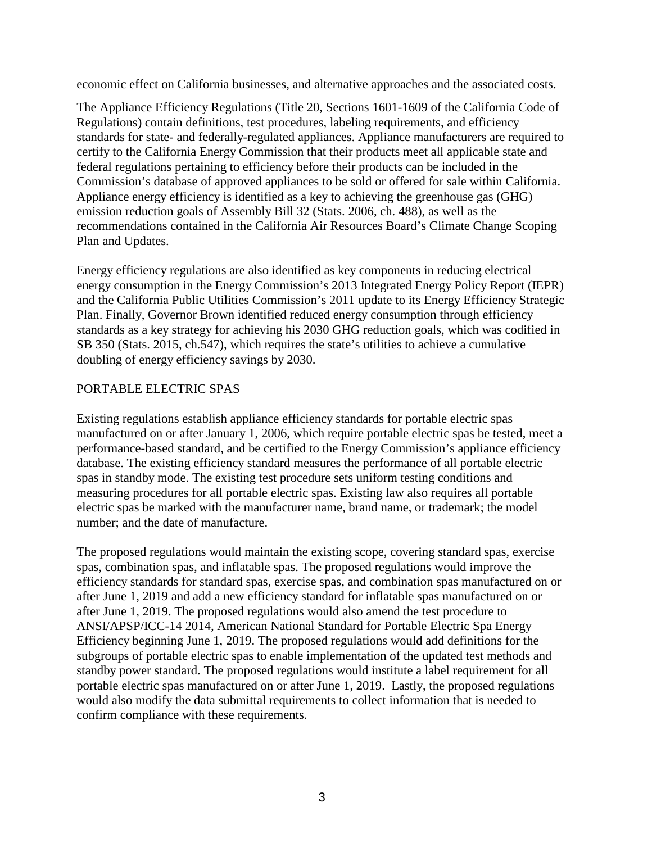economic effect on California businesses, and alternative approaches and the associated costs.

The Appliance Efficiency Regulations (Title 20, Sections 1601-1609 of the California Code of Regulations) contain definitions, test procedures, labeling requirements, and efficiency standards for state- and federally-regulated appliances. Appliance manufacturers are required to certify to the California Energy Commission that their products meet all applicable state and federal regulations pertaining to efficiency before their products can be included in the Commission's database of approved appliances to be sold or offered for sale within California. Appliance energy efficiency is identified as a key to achieving the greenhouse gas (GHG) emission reduction goals of Assembly Bill 32 (Stats. 2006, ch. 488), as well as the recommendations contained in the California Air Resources Board's Climate Change Scoping Plan and Updates.

Energy efficiency regulations are also identified as key components in reducing electrical energy consumption in the Energy Commission's 2013 Integrated Energy Policy Report (IEPR) and the California Public Utilities Commission's 2011 update to its Energy Efficiency Strategic Plan. Finally, Governor Brown identified reduced energy consumption through efficiency standards as a key strategy for achieving his 2030 GHG reduction goals, which was codified in SB 350 (Stats. 2015, ch.547), which requires the state's utilities to achieve a cumulative doubling of energy efficiency savings by 2030.

# PORTABLE ELECTRIC SPAS

Existing regulations establish appliance efficiency standards for portable electric spas manufactured on or after January 1, 2006, which require portable electric spas be tested, meet a performance-based standard, and be certified to the Energy Commission's appliance efficiency database. The existing efficiency standard measures the performance of all portable electric spas in standby mode. The existing test procedure sets uniform testing conditions and measuring procedures for all portable electric spas. Existing law also requires all portable electric spas be marked with the manufacturer name, brand name, or trademark; the model number; and the date of manufacture.

The proposed regulations would maintain the existing scope, covering standard spas, exercise spas, combination spas, and inflatable spas. The proposed regulations would improve the efficiency standards for standard spas, exercise spas, and combination spas manufactured on or after June 1, 2019 and add a new efficiency standard for inflatable spas manufactured on or after June 1, 2019. The proposed regulations would also amend the test procedure to ANSI/APSP/ICC-14 2014, American National Standard for Portable Electric Spa Energy Efficiency beginning June 1, 2019. The proposed regulations would add definitions for the subgroups of portable electric spas to enable implementation of the updated test methods and standby power standard. The proposed regulations would institute a label requirement for all portable electric spas manufactured on or after June 1, 2019. Lastly, the proposed regulations would also modify the data submittal requirements to collect information that is needed to confirm compliance with these requirements.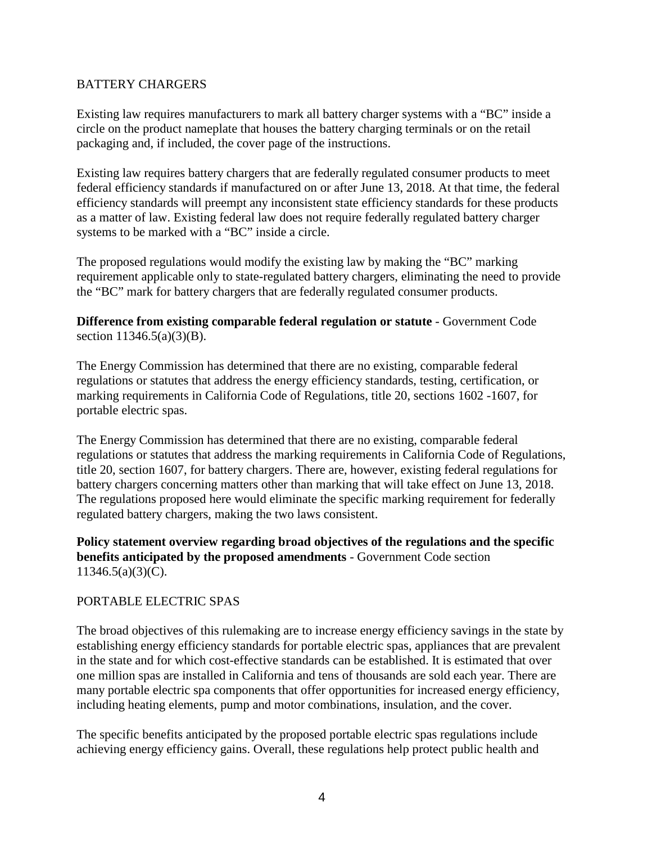#### BATTERY CHARGERS

Existing law requires manufacturers to mark all battery charger systems with a "BC" inside a circle on the product nameplate that houses the battery charging terminals or on the retail packaging and, if included, the cover page of the instructions.

Existing law requires battery chargers that are federally regulated consumer products to meet federal efficiency standards if manufactured on or after June 13, 2018. At that time, the federal efficiency standards will preempt any inconsistent state efficiency standards for these products as a matter of law. Existing federal law does not require federally regulated battery charger systems to be marked with a "BC" inside a circle.

The proposed regulations would modify the existing law by making the "BC" marking requirement applicable only to state-regulated battery chargers, eliminating the need to provide the "BC" mark for battery chargers that are federally regulated consumer products.

**Difference from existing comparable federal regulation or statute** - Government Code section 11346.5(a)(3)(B).

The Energy Commission has determined that there are no existing, comparable federal regulations or statutes that address the energy efficiency standards, testing, certification, or marking requirements in California Code of Regulations, title 20, sections 1602 -1607, for portable electric spas.

The Energy Commission has determined that there are no existing, comparable federal regulations or statutes that address the marking requirements in California Code of Regulations, title 20, section 1607, for battery chargers. There are, however, existing federal regulations for battery chargers concerning matters other than marking that will take effect on June 13, 2018. The regulations proposed here would eliminate the specific marking requirement for federally regulated battery chargers, making the two laws consistent.

#### **Policy statement overview regarding broad objectives of the regulations and the specific benefits anticipated by the proposed amendments** - Government Code section  $11346.5(a)(3)(C)$ .

#### PORTABLE ELECTRIC SPAS

The broad objectives of this rulemaking are to increase energy efficiency savings in the state by establishing energy efficiency standards for portable electric spas, appliances that are prevalent in the state and for which cost-effective standards can be established. It is estimated that over one million spas are installed in California and tens of thousands are sold each year. There are many portable electric spa components that offer opportunities for increased energy efficiency, including heating elements, pump and motor combinations, insulation, and the cover.

The specific benefits anticipated by the proposed portable electric spas regulations include achieving energy efficiency gains. Overall, these regulations help protect public health and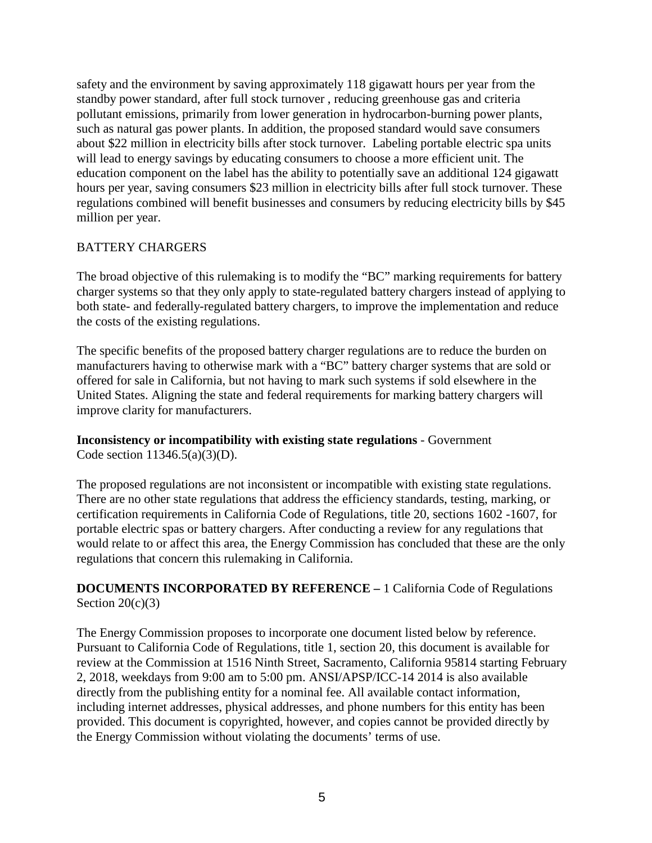safety and the environment by saving approximately 118 gigawatt hours per year from the standby power standard, after full stock turnover , reducing greenhouse gas and criteria pollutant emissions, primarily from lower generation in hydrocarbon-burning power plants, such as natural gas power plants. In addition, the proposed standard would save consumers about \$22 million in electricity bills after stock turnover. Labeling portable electric spa units will lead to energy savings by educating consumers to choose a more efficient unit. The education component on the label has the ability to potentially save an additional 124 gigawatt hours per year, saving consumers \$23 million in electricity bills after full stock turnover. These regulations combined will benefit businesses and consumers by reducing electricity bills by \$45 million per year.

#### BATTERY CHARGERS

The broad objective of this rulemaking is to modify the "BC" marking requirements for battery charger systems so that they only apply to state-regulated battery chargers instead of applying to both state- and federally-regulated battery chargers, to improve the implementation and reduce the costs of the existing regulations.

The specific benefits of the proposed battery charger regulations are to reduce the burden on manufacturers having to otherwise mark with a "BC" battery charger systems that are sold or offered for sale in California, but not having to mark such systems if sold elsewhere in the United States. Aligning the state and federal requirements for marking battery chargers will improve clarity for manufacturers.

# **Inconsistency or incompatibility with existing state regulations** - Government

Code section  $11346.5(a)(3)(D)$ .

The proposed regulations are not inconsistent or incompatible with existing state regulations. There are no other state regulations that address the efficiency standards, testing, marking, or certification requirements in California Code of Regulations, title 20, sections 1602 -1607, for portable electric spas or battery chargers. After conducting a review for any regulations that would relate to or affect this area, the Energy Commission has concluded that these are the only regulations that concern this rulemaking in California.

# **DOCUMENTS INCORPORATED BY REFERENCE –** 1 California Code of Regulations Section  $20(c)(3)$

The Energy Commission proposes to incorporate one document listed below by reference. Pursuant to California Code of Regulations, title 1, section 20, this document is available for review at the Commission at 1516 Ninth Street, Sacramento, California 95814 starting February 2, 2018, weekdays from 9:00 am to 5:00 pm. ANSI/APSP/ICC-14 2014 is also available directly from the publishing entity for a nominal fee. All available contact information, including internet addresses, physical addresses, and phone numbers for this entity has been provided. This document is copyrighted, however, and copies cannot be provided directly by the Energy Commission without violating the documents' terms of use.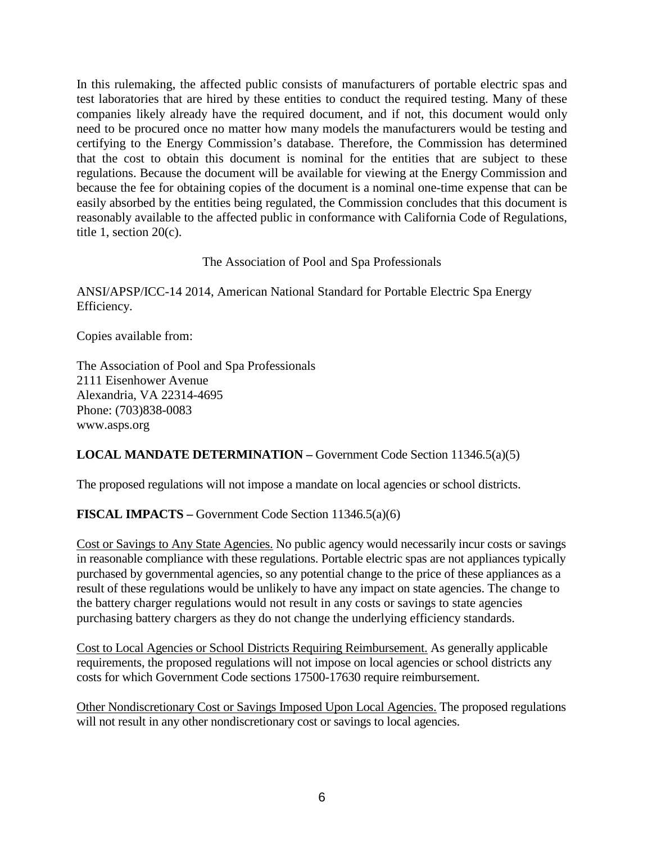In this rulemaking, the affected public consists of manufacturers of portable electric spas and test laboratories that are hired by these entities to conduct the required testing. Many of these companies likely already have the required document, and if not, this document would only need to be procured once no matter how many models the manufacturers would be testing and certifying to the Energy Commission's database. Therefore, the Commission has determined that the cost to obtain this document is nominal for the entities that are subject to these regulations. Because the document will be available for viewing at the Energy Commission and because the fee for obtaining copies of the document is a nominal one-time expense that can be easily absorbed by the entities being regulated, the Commission concludes that this document is reasonably available to the affected public in conformance with California Code of Regulations, title 1, section 20(c).

#### The Association of Pool and Spa Professionals

ANSI/APSP/ICC-14 2014, American National Standard for Portable Electric Spa Energy Efficiency.

Copies available from:

The Association of Pool and Spa Professionals 2111 Eisenhower Avenue Alexandria, VA 22314-4695 Phone: (703)838-0083 www.asps.org

# **LOCAL MANDATE DETERMINATION –** Government Code Section 11346.5(a)(5)

The proposed regulations will not impose a mandate on local agencies or school districts.

# **FISCAL IMPACTS –** Government Code Section 11346.5(a)(6)

Cost or Savings to Any State Agencies. No public agency would necessarily incur costs or savings in reasonable compliance with these regulations. Portable electric spas are not appliances typically purchased by governmental agencies, so any potential change to the price of these appliances as a result of these regulations would be unlikely to have any impact on state agencies. The change to the battery charger regulations would not result in any costs or savings to state agencies purchasing battery chargers as they do not change the underlying efficiency standards.

Cost to Local Agencies or School Districts Requiring Reimbursement. As generally applicable requirements, the proposed regulations will not impose on local agencies or school districts any costs for which Government Code sections 17500-17630 require reimbursement.

Other Nondiscretionary Cost or Savings Imposed Upon Local Agencies. The proposed regulations will not result in any other nondiscretionary cost or savings to local agencies.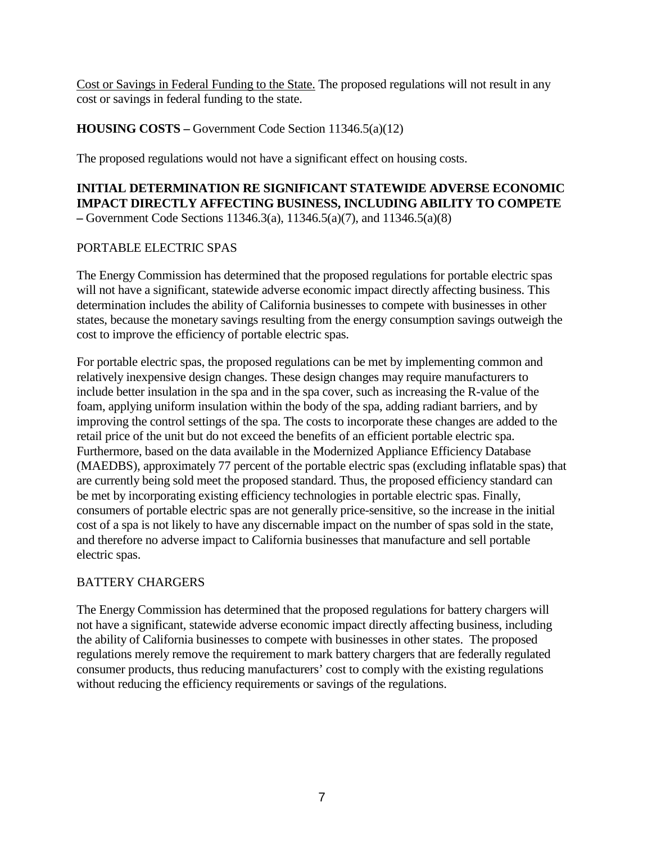Cost or Savings in Federal Funding to the State. The proposed regulations will not result in any cost or savings in federal funding to the state.

# **HOUSING COSTS –** Government Code Section 11346.5(a)(12)

The proposed regulations would not have a significant effect on housing costs.

**INITIAL DETERMINATION RE SIGNIFICANT STATEWIDE ADVERSE ECONOMIC IMPACT DIRECTLY AFFECTING BUSINESS, INCLUDING ABILITY TO COMPETE –** Government Code Sections 11346.3(a), 11346.5(a)(7), and 11346.5(a)(8)

# PORTABLE ELECTRIC SPAS

The Energy Commission has determined that the proposed regulations for portable electric spas will not have a significant, statewide adverse economic impact directly affecting business. This determination includes the ability of California businesses to compete with businesses in other states, because the monetary savings resulting from the energy consumption savings outweigh the cost to improve the efficiency of portable electric spas.

For portable electric spas, the proposed regulations can be met by implementing common and relatively inexpensive design changes. These design changes may require manufacturers to include better insulation in the spa and in the spa cover, such as increasing the R-value of the foam, applying uniform insulation within the body of the spa, adding radiant barriers, and by improving the control settings of the spa. The costs to incorporate these changes are added to the retail price of the unit but do not exceed the benefits of an efficient portable electric spa. Furthermore, based on the data available in the Modernized Appliance Efficiency Database (MAEDBS), approximately 77 percent of the portable electric spas (excluding inflatable spas) that are currently being sold meet the proposed standard. Thus, the proposed efficiency standard can be met by incorporating existing efficiency technologies in portable electric spas. Finally, consumers of portable electric spas are not generally price-sensitive, so the increase in the initial cost of a spa is not likely to have any discernable impact on the number of spas sold in the state, and therefore no adverse impact to California businesses that manufacture and sell portable electric spas.

# BATTERY CHARGERS

The Energy Commission has determined that the proposed regulations for battery chargers will not have a significant, statewide adverse economic impact directly affecting business, including the ability of California businesses to compete with businesses in other states. The proposed regulations merely remove the requirement to mark battery chargers that are federally regulated consumer products, thus reducing manufacturers' cost to comply with the existing regulations without reducing the efficiency requirements or savings of the regulations.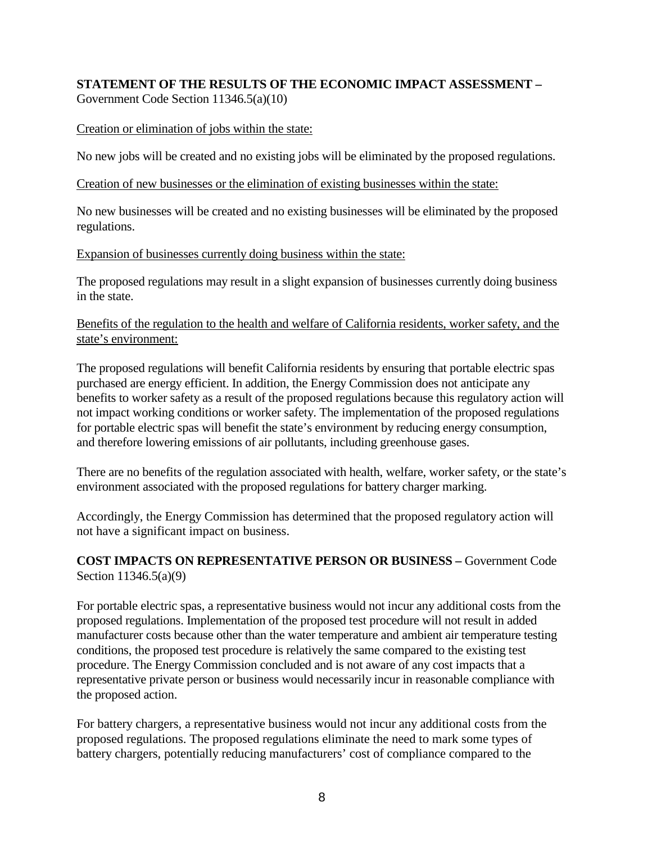#### **STATEMENT OF THE RESULTS OF THE ECONOMIC IMPACT ASSESSMENT –** Government Code Section 11346.5(a)(10)

# Creation or elimination of jobs within the state:

No new jobs will be created and no existing jobs will be eliminated by the proposed regulations.

Creation of new businesses or the elimination of existing businesses within the state:

No new businesses will be created and no existing businesses will be eliminated by the proposed regulations.

# Expansion of businesses currently doing business within the state:

The proposed regulations may result in a slight expansion of businesses currently doing business in the state.

# Benefits of the regulation to the health and welfare of California residents, worker safety, and the state's environment:

The proposed regulations will benefit California residents by ensuring that portable electric spas purchased are energy efficient. In addition, the Energy Commission does not anticipate any benefits to worker safety as a result of the proposed regulations because this regulatory action will not impact working conditions or worker safety. The implementation of the proposed regulations for portable electric spas will benefit the state's environment by reducing energy consumption, and therefore lowering emissions of air pollutants, including greenhouse gases.

There are no benefits of the regulation associated with health, welfare, worker safety, or the state's environment associated with the proposed regulations for battery charger marking.

Accordingly, the Energy Commission has determined that the proposed regulatory action will not have a significant impact on business.

# **COST IMPACTS ON REPRESENTATIVE PERSON OR BUSINESS –** Government Code Section 11346.5(a)(9)

For portable electric spas, a representative business would not incur any additional costs from the proposed regulations. Implementation of the proposed test procedure will not result in added manufacturer costs because other than the water temperature and ambient air temperature testing conditions, the proposed test procedure is relatively the same compared to the existing test procedure. The Energy Commission concluded and is not aware of any cost impacts that a representative private person or business would necessarily incur in reasonable compliance with the proposed action.

For battery chargers, a representative business would not incur any additional costs from the proposed regulations. The proposed regulations eliminate the need to mark some types of battery chargers, potentially reducing manufacturers' cost of compliance compared to the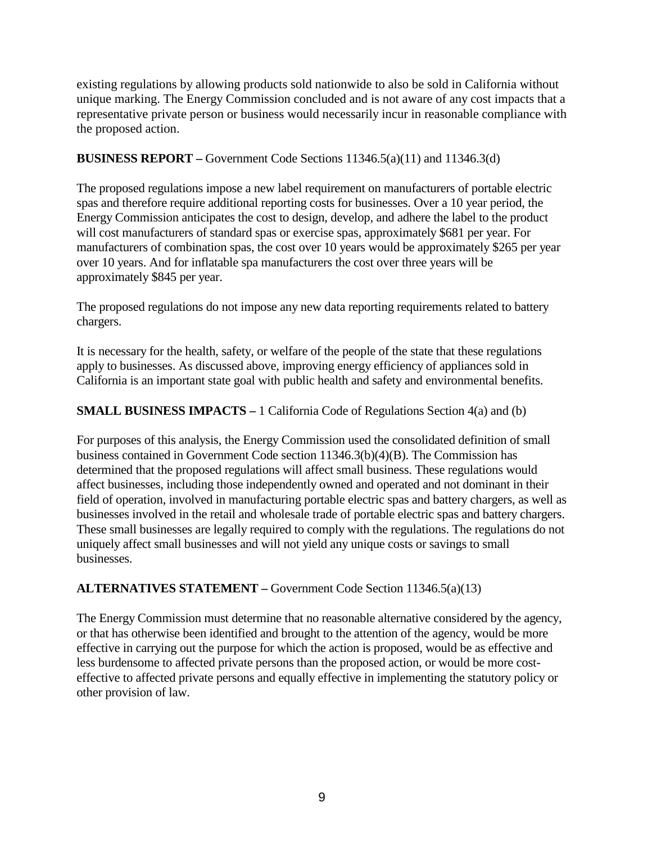existing regulations by allowing products sold nationwide to also be sold in California without unique marking. The Energy Commission concluded and is not aware of any cost impacts that a representative private person or business would necessarily incur in reasonable compliance with the proposed action.

# **BUSINESS REPORT –** Government Code Sections 11346.5(a)(11) and 11346.3(d)

The proposed regulations impose a new label requirement on manufacturers of portable electric spas and therefore require additional reporting costs for businesses. Over a 10 year period, the Energy Commission anticipates the cost to design, develop, and adhere the label to the product will cost manufacturers of standard spas or exercise spas, approximately \$681 per year. For manufacturers of combination spas, the cost over 10 years would be approximately \$265 per year over 10 years. And for inflatable spa manufacturers the cost over three years will be approximately \$845 per year.

The proposed regulations do not impose any new data reporting requirements related to battery chargers.

It is necessary for the health, safety, or welfare of the people of the state that these regulations apply to businesses. As discussed above, improving energy efficiency of appliances sold in California is an important state goal with public health and safety and environmental benefits.

# **SMALL BUSINESS IMPACTS –** 1 California Code of Regulations Section 4(a) and (b)

For purposes of this analysis, the Energy Commission used the consolidated definition of small business contained in Government Code section 11346.3(b)(4)(B). The Commission has determined that the proposed regulations will affect small business. These regulations would affect businesses, including those independently owned and operated and not dominant in their field of operation, involved in manufacturing portable electric spas and battery chargers, as well as businesses involved in the retail and wholesale trade of portable electric spas and battery chargers. These small businesses are legally required to comply with the regulations. The regulations do not uniquely affect small businesses and will not yield any unique costs or savings to small businesses.

# **ALTERNATIVES STATEMENT –** Government Code Section 11346.5(a)(13)

The Energy Commission must determine that no reasonable alternative considered by the agency, or that has otherwise been identified and brought to the attention of the agency, would be more effective in carrying out the purpose for which the action is proposed, would be as effective and less burdensome to affected private persons than the proposed action, or would be more costeffective to affected private persons and equally effective in implementing the statutory policy or other provision of law.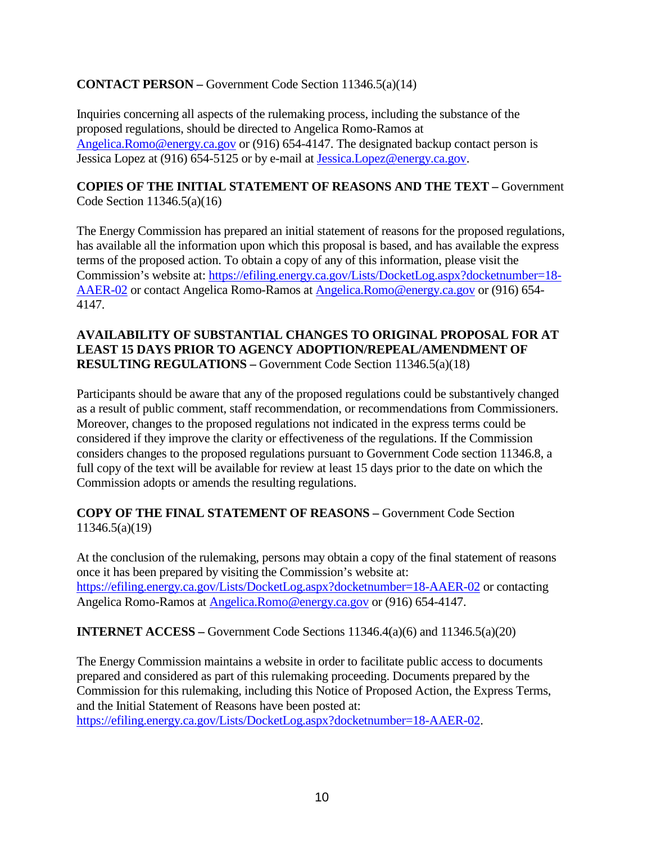# **CONTACT PERSON –** Government Code Section 11346.5(a)(14)

Inquiries concerning all aspects of the rulemaking process, including the substance of the proposed regulations, should be directed to Angelica Romo-Ramos at [Angelica.Romo@energy.ca.gov](mailto:Angelica.Romo@energy.ca.gov) or (916) 654-4147. The designated backup contact person is Jessica Lopez at (916) 654-5125 or by e-mail at [Jessica.Lopez@energy.ca.gov.](mailto:Jessica.Lopez@energy.ca.gov)

#### **COPIES OF THE INITIAL STATEMENT OF REASONS AND THE TEXT –** Government Code Section 11346.5(a)(16)

The Energy Commission has prepared an initial statement of reasons for the proposed regulations, has available all the information upon which this proposal is based, and has available the express terms of the proposed action. To obtain a copy of any of this information, please visit the Commission's website at: [https://efiling.energy.ca.gov/Lists/DocketLog.aspx?docketnumber=18-](https://efiling.energy.ca.gov/Lists/DocketLog.aspx?docketnumber=18-AAER-02) [AAER-02](https://efiling.energy.ca.gov/Lists/DocketLog.aspx?docketnumber=18-AAER-02) or contact Angelica Romo-Ramos at [Angelica.Romo@energy.ca.gov](mailto:Angelica.Romo@energy.ca.gov) or (916) 654- 4147.

# **AVAILABILITY OF SUBSTANTIAL CHANGES TO ORIGINAL PROPOSAL FOR AT LEAST 15 DAYS PRIOR TO AGENCY ADOPTION/REPEAL/AMENDMENT OF RESULTING REGULATIONS –** Government Code Section 11346.5(a)(18)

Participants should be aware that any of the proposed regulations could be substantively changed as a result of public comment, staff recommendation, or recommendations from Commissioners. Moreover, changes to the proposed regulations not indicated in the express terms could be considered if they improve the clarity or effectiveness of the regulations. If the Commission considers changes to the proposed regulations pursuant to Government Code section 11346.8, a full copy of the text will be available for review at least 15 days prior to the date on which the Commission adopts or amends the resulting regulations.

# **COPY OF THE FINAL STATEMENT OF REASONS –** Government Code Section 11346.5(a)(19)

At the conclusion of the rulemaking, persons may obtain a copy of the final statement of reasons once it has been prepared by visiting the Commission's website at: <https://efiling.energy.ca.gov/Lists/DocketLog.aspx?docketnumber=18-AAER-02> or contacting Angelica Romo-Ramos at [Angelica.Romo@energy.ca.gov](mailto:Angelica.Romo@energy.ca.gov) or (916) 654-4147.

# **INTERNET ACCESS –** Government Code Sections 11346.4(a)(6) and 11346.5(a)(20)

The Energy Commission maintains a website in order to facilitate public access to documents prepared and considered as part of this rulemaking proceeding. Documents prepared by the Commission for this rulemaking, including this Notice of Proposed Action, the Express Terms, and the Initial Statement of Reasons have been posted at: [https://efiling.energy.ca.gov/Lists/DocketLog.aspx?docketnumber=18-AAER-02.](https://efiling.energy.ca.gov/Lists/DocketLog.aspx?docketnumber=18-AAER-02)